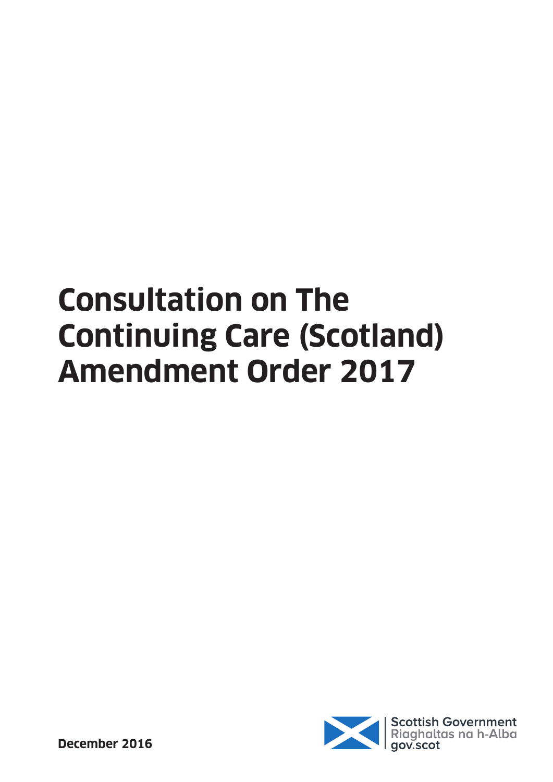# **Consultation on The Continuing Care (Scotland) Amendment Order 2017**

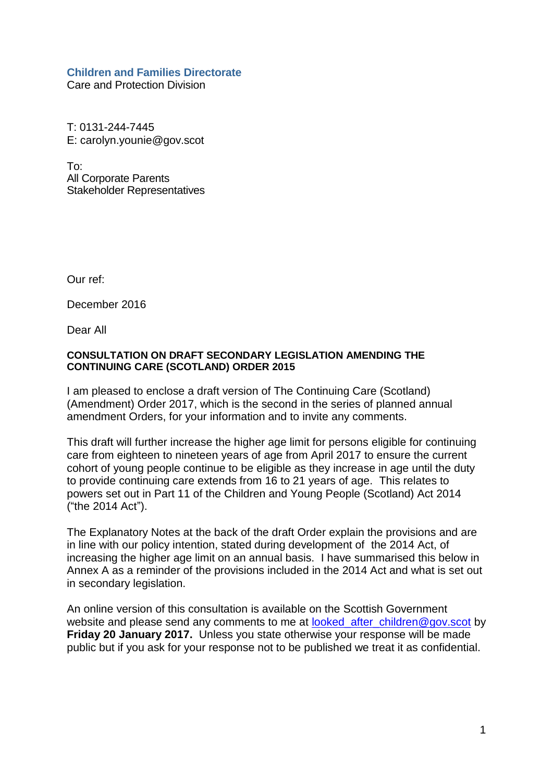#### **Children and Families Directorate**

Care and Protection Division

T: 0131-244-7445 E: carolyn.younie@gov.scot

To: All Corporate Parents Stakeholder Representatives

Our ref:

December 2016

Dear All

#### **CONSULTATION ON DRAFT SECONDARY LEGISLATION AMENDING THE CONTINUING CARE (SCOTLAND) ORDER 2015**

I am pleased to enclose a draft version of The Continuing Care (Scotland) (Amendment) Order 2017, which is the second in the series of planned annual amendment Orders, for your information and to invite any comments.

This draft will further increase the higher age limit for persons eligible for continuing care from eighteen to nineteen years of age from April 2017 to ensure the current cohort of young people continue to be eligible as they increase in age until the duty to provide continuing care extends from 16 to 21 years of age. This relates to powers set out in Part 11 of the Children and Young People (Scotland) Act 2014 ("the 2014 Act").

The Explanatory Notes at the back of the draft Order explain the provisions and are in line with our policy intention, stated during development of the 2014 Act, of increasing the higher age limit on an annual basis. I have summarised this below in Annex A as a reminder of the provisions included in the 2014 Act and what is set out in secondary legislation.

An online version of this consultation is available on the Scottish Government website and please send any comments to me at looked after children@gov.scot by **Friday 20 January 2017.** Unless you state otherwise your response will be made public but if you ask for your response not to be published we treat it as confidential.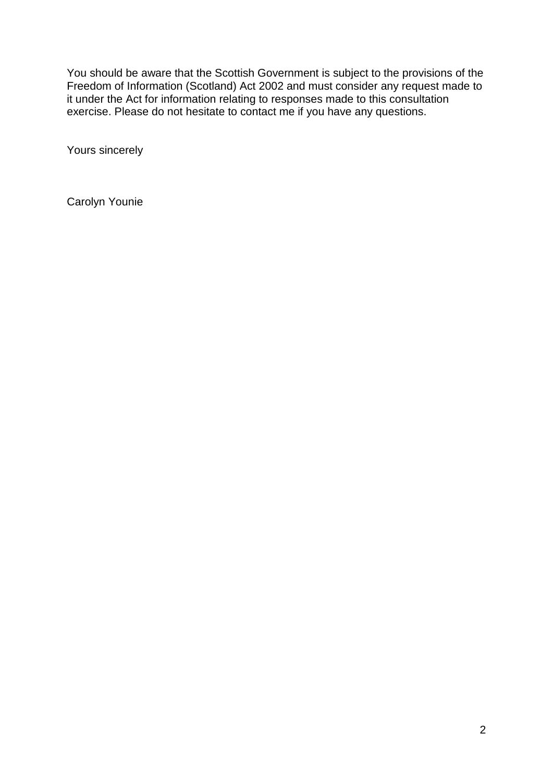You should be aware that the Scottish Government is subject to the provisions of the Freedom of Information (Scotland) Act 2002 and must consider any request made to it under the Act for information relating to responses made to this consultation exercise. Please do not hesitate to contact me if you have any questions.

Yours sincerely

Carolyn Younie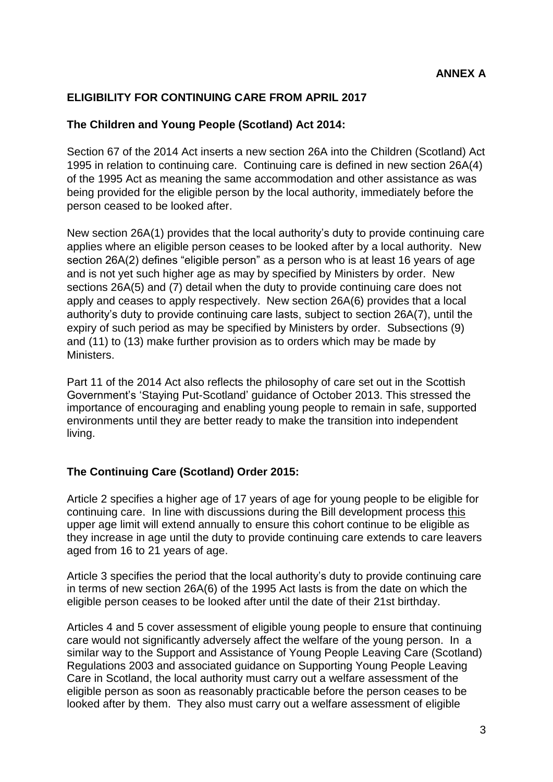#### **ELIGIBILITY FOR CONTINUING CARE FROM APRIL 2017**

#### **The Children and Young People (Scotland) Act 2014:**

Section 67 of the 2014 Act inserts a new section 26A into the Children (Scotland) Act 1995 in relation to continuing care. Continuing care is defined in new section 26A(4) of the 1995 Act as meaning the same accommodation and other assistance as was being provided for the eligible person by the local authority, immediately before the person ceased to be looked after.

New section 26A(1) provides that the local authority"s duty to provide continuing care applies where an eligible person ceases to be looked after by a local authority. New section 26A(2) defines "eligible person" as a person who is at least 16 years of age and is not yet such higher age as may by specified by Ministers by order. New sections 26A(5) and (7) detail when the duty to provide continuing care does not apply and ceases to apply respectively. New section 26A(6) provides that a local authority"s duty to provide continuing care lasts, subject to section 26A(7), until the expiry of such period as may be specified by Ministers by order. Subsections (9) and (11) to (13) make further provision as to orders which may be made by **Ministers** 

Part 11 of the 2014 Act also reflects the philosophy of care set out in the Scottish Government"s "Staying Put-Scotland" guidance of October 2013. This stressed the importance of encouraging and enabling young people to remain in safe, supported environments until they are better ready to make the transition into independent living.

#### **The Continuing Care (Scotland) Order 2015:**

Article 2 specifies a higher age of 17 years of age for young people to be eligible for continuing care. In line with discussions during the Bill development process this upper age limit will extend annually to ensure this cohort continue to be eligible as they increase in age until the duty to provide continuing care extends to care leavers aged from 16 to 21 years of age.

Article 3 specifies the period that the local authority"s duty to provide continuing care in terms of new section 26A(6) of the 1995 Act lasts is from the date on which the eligible person ceases to be looked after until the date of their 21st birthday.

Articles 4 and 5 cover assessment of eligible young people to ensure that continuing care would not significantly adversely affect the welfare of the young person. In a similar way to the Support and Assistance of Young People Leaving Care (Scotland) Regulations 2003 and associated guidance on Supporting Young People Leaving Care in Scotland, the local authority must carry out a welfare assessment of the eligible person as soon as reasonably practicable before the person ceases to be looked after by them. They also must carry out a welfare assessment of eligible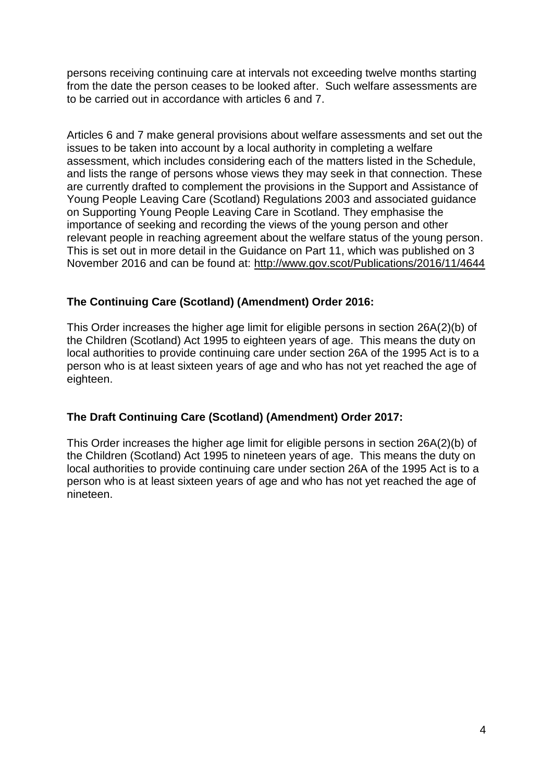persons receiving continuing care at intervals not exceeding twelve months starting from the date the person ceases to be looked after. Such welfare assessments are to be carried out in accordance with articles 6 and 7.

Articles 6 and 7 make general provisions about welfare assessments and set out the issues to be taken into account by a local authority in completing a welfare assessment, which includes considering each of the matters listed in the Schedule, and lists the range of persons whose views they may seek in that connection. These are currently drafted to complement the provisions in the Support and Assistance of Young People Leaving Care (Scotland) Regulations 2003 and associated guidance on Supporting Young People Leaving Care in Scotland. They emphasise the importance of seeking and recording the views of the young person and other relevant people in reaching agreement about the welfare status of the young person. This is set out in more detail in the Guidance on Part 11, which was published on 3 November 2016 and can be found at: <http://www.gov.scot/Publications/2016/11/4644>

#### **The Continuing Care (Scotland) (Amendment) Order 2016:**

This Order increases the higher age limit for eligible persons in section 26A(2)(b) of the Children (Scotland) Act 1995 to eighteen years of age. This means the duty on local authorities to provide continuing care under section 26A of the 1995 Act is to a person who is at least sixteen years of age and who has not yet reached the age of eighteen.

#### **The Draft Continuing Care (Scotland) (Amendment) Order 2017:**

This Order increases the higher age limit for eligible persons in section 26A(2)(b) of the Children (Scotland) Act 1995 to nineteen years of age. This means the duty on local authorities to provide continuing care under section 26A of the 1995 Act is to a person who is at least sixteen years of age and who has not yet reached the age of nineteen.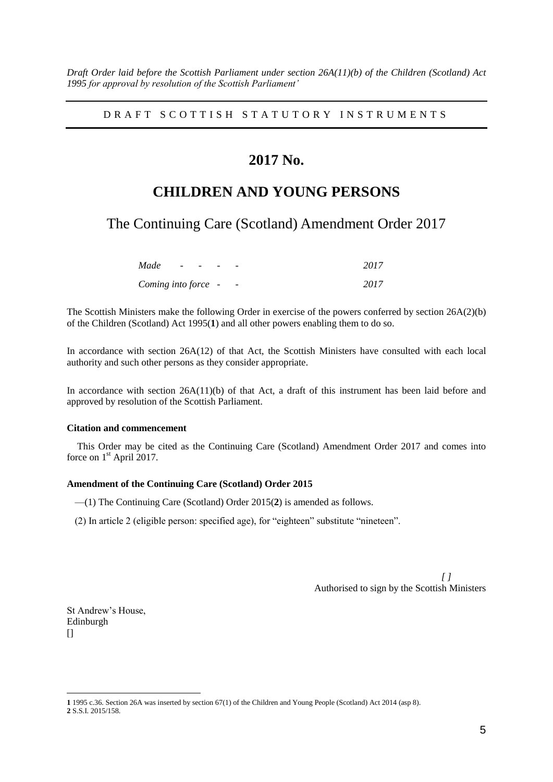*Draft Order laid before the Scottish Parliament under section 26A(11)(b) of the Children (Scotland) Act 1995 for approval by resolution of the Scottish Parliament'*

DRAFT SCOTTISH STATUTORY INSTRUMENTS

### **2017 No.**

## **CHILDREN AND YOUNG PERSONS**

The Continuing Care (Scotland) Amendment Order 2017

| Made                | $\overline{\phantom{0}}$ | $\overline{\phantom{a}}$ | $\overline{\phantom{0}}$ | 2017 |
|---------------------|--------------------------|--------------------------|--------------------------|------|
| Coming into force - |                          |                          | $\overline{\phantom{a}}$ | 2017 |

The Scottish Ministers make the following Order in exercise of the powers conferred by section 26A(2)(b) of the Children (Scotland) Act 1995(**1**) and all other powers enabling them to do so.

In accordance with section 26A(12) of that Act, the Scottish Ministers have consulted with each local authority and such other persons as they consider appropriate.

In accordance with section 26A(11)(b) of that Act, a draft of this instrument has been laid before and approved by resolution of the Scottish Parliament.

#### **Citation and commencement**

This Order may be cited as the Continuing Care (Scotland) Amendment Order 2017 and comes into force on  $1<sup>st</sup>$  April 2017.

#### **Amendment of the Continuing Care (Scotland) Order 2015**

—(1) The Continuing Care (Scotland) Order 2015(**2**) is amended as follows.

(2) In article 2 (eligible person: specified age), for "eighteen" substitute "nineteen".

*[ ]* Authorised to sign by the Scottish Ministers

St Andrew's House, Edinburgh  $\prod$ 

1

**<sup>1</sup>** 1995 c.36. Section 26A was inserted by section 67(1) of the Children and Young People (Scotland) Act 2014 (asp 8). **2** S.S.I. 2015/158.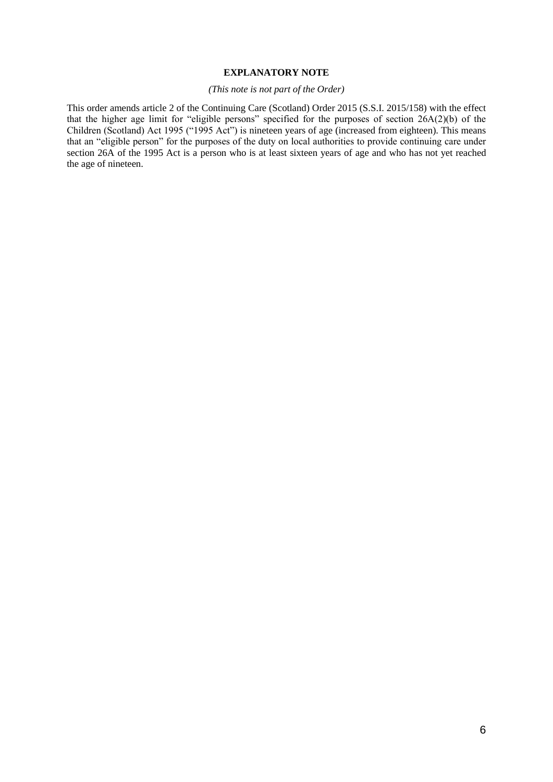#### **EXPLANATORY NOTE**

#### *(This note is not part of the Order)*

This order amends article 2 of the Continuing Care (Scotland) Order 2015 (S.S.I. 2015/158) with the effect that the higher age limit for "eligible persons" specified for the purposes of section 26A(2)(b) of the Children (Scotland) Act 1995 ("1995 Act") is nineteen years of age (increased from eighteen). This means that an "eligible person" for the purposes of the duty on local authorities to provide continuing care under section 26A of the 1995 Act is a person who is at least sixteen years of age and who has not yet reached the age of nineteen.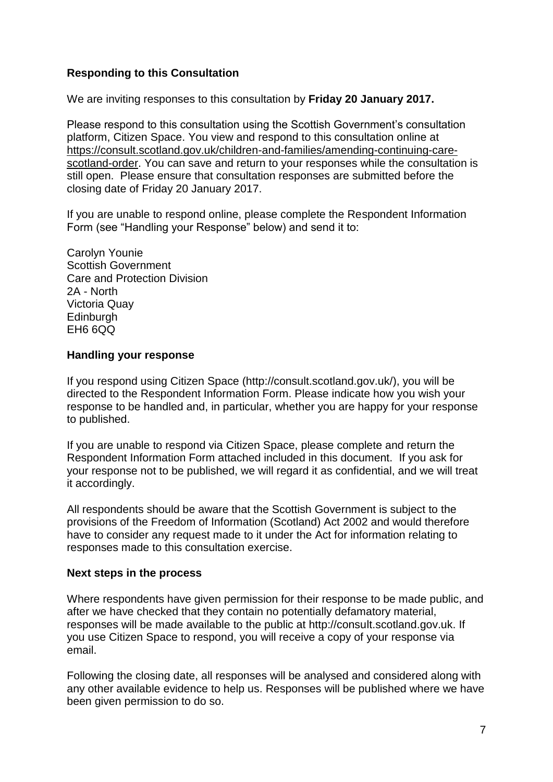#### **Responding to this Consultation**

We are inviting responses to this consultation by **Friday 20 January 2017.**

Please respond to this consultation using the Scottish Government"s consultation platform, Citizen Space. You view and respond to this consultation online at [https://consult.scotland.gov.uk/children-and-families/amending-continuing-care](https://consult.scotland.gov.uk/children-and-families/amending-continuing-care-scotland-order)[scotland-order.](https://consult.scotland.gov.uk/children-and-families/amending-continuing-care-scotland-order) You can save and return to your responses while the consultation is still open. Please ensure that consultation responses are submitted before the closing date of Friday 20 January 2017.

If you are unable to respond online, please complete the Respondent Information Form (see "Handling your Response" below) and send it to:

Carolyn Younie Scottish Government Care and Protection Division 2A - North Victoria Quay **Edinburgh** EH6 6QQ

#### **Handling your response**

If you respond using Citizen Space (http://consult.scotland.gov.uk/), you will be directed to the Respondent Information Form. Please indicate how you wish your response to be handled and, in particular, whether you are happy for your response to published.

If you are unable to respond via Citizen Space, please complete and return the Respondent Information Form attached included in this document. If you ask for your response not to be published, we will regard it as confidential, and we will treat it accordingly.

All respondents should be aware that the Scottish Government is subject to the provisions of the Freedom of Information (Scotland) Act 2002 and would therefore have to consider any request made to it under the Act for information relating to responses made to this consultation exercise.

#### **Next steps in the process**

Where respondents have given permission for their response to be made public, and after we have checked that they contain no potentially defamatory material, responses will be made available to the public at http://consult.scotland.gov.uk. If you use Citizen Space to respond, you will receive a copy of your response via email.

Following the closing date, all responses will be analysed and considered along with any other available evidence to help us. Responses will be published where we have been given permission to do so.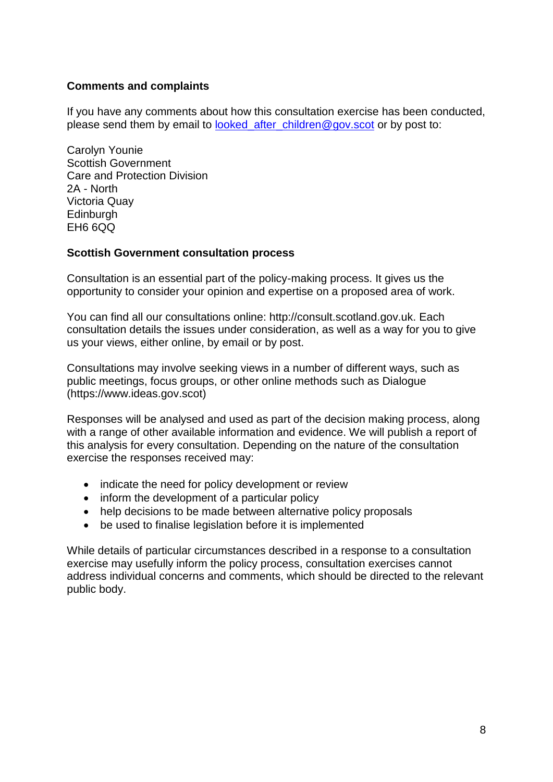#### **Comments and complaints**

If you have any comments about how this consultation exercise has been conducted, please send them by email to looked after children@gov.scot or by post to:

Carolyn Younie Scottish Government Care and Protection Division 2A - North Victoria Quay **Edinburgh** EH6 6QQ

#### **Scottish Government consultation process**

Consultation is an essential part of the policy-making process. It gives us the opportunity to consider your opinion and expertise on a proposed area of work.

You can find all our consultations online: http://consult.scotland.gov.uk. Each consultation details the issues under consideration, as well as a way for you to give us your views, either online, by email or by post.

Consultations may involve seeking views in a number of different ways, such as public meetings, focus groups, or other online methods such as Dialogue (https://www.ideas.gov.scot)

Responses will be analysed and used as part of the decision making process, along with a range of other available information and evidence. We will publish a report of this analysis for every consultation. Depending on the nature of the consultation exercise the responses received may:

- indicate the need for policy development or review
- inform the development of a particular policy
- help decisions to be made between alternative policy proposals
- be used to finalise legislation before it is implemented

While details of particular circumstances described in a response to a consultation exercise may usefully inform the policy process, consultation exercises cannot address individual concerns and comments, which should be directed to the relevant public body.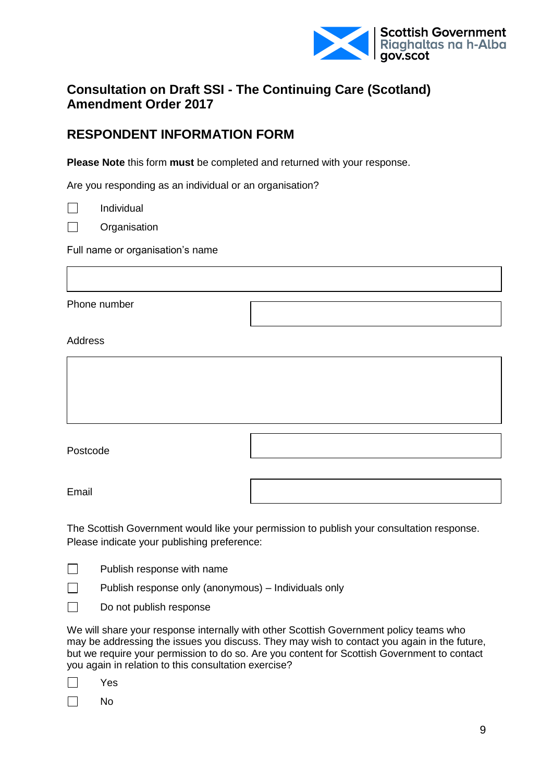

## **Consultation on Draft SSI - The Continuing Care (Scotland) Amendment Order 2017**

## **RESPONDENT INFORMATION FORM**

**Please Note** this form **must** be completed and returned with your response.

Are you responding as an individual or an organisation?

|--|

 $\Box$ **Organisation** 

Individual

Full name or organisation's name

Phone number

Address

| Postcode |  |
|----------|--|
| Email    |  |

The Scottish Government would like your permission to publish your consultation response. Please indicate your publishing preference:

Publish response only (anonymous) – Individuals only

П Do not publish response

We will share your response internally with other Scottish Government policy teams who may be addressing the issues you discuss. They may wish to contact you again in the future, but we require your permission to do so. Are you content for Scottish Government to contact you again in relation to this consultation exercise?

| - |
|---|
|---|

 $\Box$ 

П No